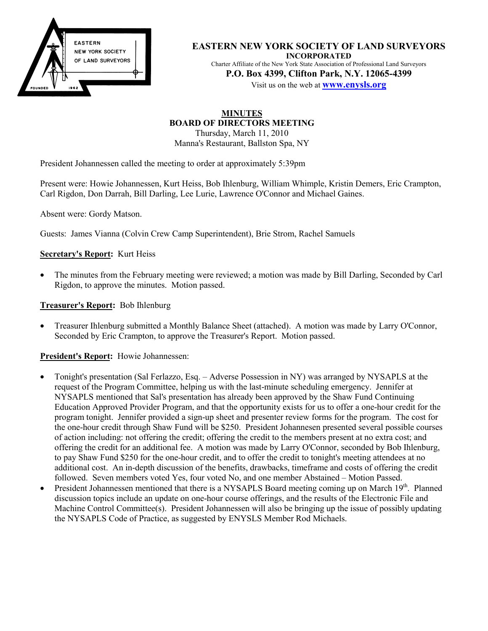

**EASTERN NEW YORK SOCIETY OF LAND SURVEYORS INCORPORATED** Charter Affiliate of the New York State Association of Professional Land Surveyors **P.O. Box 4399, Clifton Park, N.Y. 12065-4399**

Visit us on the web at **www.enysls.org**

#### **MINUTES BOARD OF DIRECTORS MEETING** Thursday, March 11, 2010

Manna's Restaurant, Ballston Spa, NY

President Johannessen called the meeting to order at approximately 5:39pm

Present were: Howie Johannessen, Kurt Heiss, Bob Ihlenburg, William Whimple, Kristin Demers, Eric Crampton, Carl Rigdon, Don Darrah, Bill Darling, Lee Lurie, Lawrence O'Connor and Michael Gaines.

Absent were: Gordy Matson.

Guests: James Vianna (Colvin Crew Camp Superintendent), Brie Strom, Rachel Samuels

## **Secretary's Report:** Kurt Heiss

• The minutes from the February meeting were reviewed; a motion was made by Bill Darling, Seconded by Carl Rigdon, to approve the minutes. Motion passed.

#### **Treasurer's Report:** Bob Ihlenburg

• Treasurer Ihlenburg submitted a Monthly Balance Sheet (attached). A motion was made by Larry O'Connor, Seconded by Eric Crampton, to approve the Treasurer's Report. Motion passed.

#### **President's Report:** Howie Johannessen:

- Tonight's presentation (Sal Ferlazzo, Esq. Adverse Possession in NY) was arranged by NYSAPLS at the request of the Program Committee, helping us with the last-minute scheduling emergency. Jennifer at NYSAPLS mentioned that Sal's presentation has already been approved by the Shaw Fund Continuing Education Approved Provider Program, and that the opportunity exists for us to offer a one-hour credit for the program tonight. Jennifer provided a sign-up sheet and presenter review forms for the program. The cost for the one-hour credit through Shaw Fund will be \$250. President Johannesen presented several possible courses of action including: not offering the credit; offering the credit to the members present at no extra cost; and offering the credit for an additional fee. A motion was made by Larry O'Connor, seconded by Bob Ihlenburg, to pay Shaw Fund \$250 for the one-hour credit, and to offer the credit to tonight's meeting attendees at no additional cost. An in-depth discussion of the benefits, drawbacks, timeframe and costs of offering the credit followed. Seven members voted Yes, four voted No, and one member Abstained – Motion Passed.
- President Johannessen mentioned that there is a NYSAPLS Board meeting coming up on March 19<sup>th</sup>. Planned discussion topics include an update on one-hour course offerings, and the results of the Electronic File and Machine Control Committee(s). President Johannessen will also be bringing up the issue of possibly updating the NYSAPLS Code of Practice, as suggested by ENYSLS Member Rod Michaels.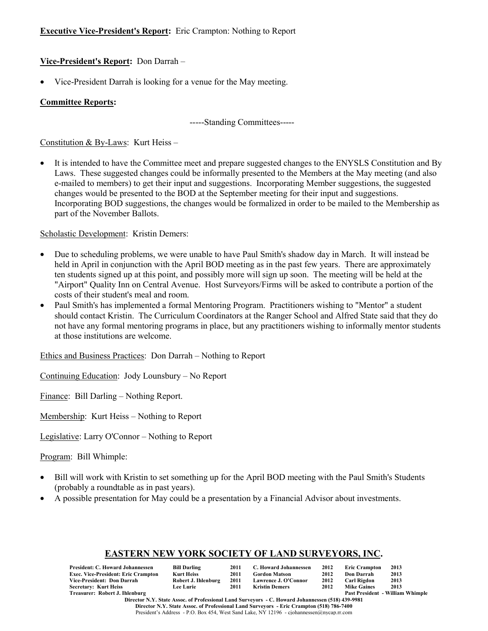## **Executive Vice-President's Report:** Eric Crampton: Nothing to Report

# **Vice-President's Report:** Don Darrah –

• Vice-President Darrah is looking for a venue for the May meeting.

## **Committee Reports:**

-----Standing Committees-----

Constitution & By-Laws: Kurt Heiss –

• It is intended to have the Committee meet and prepare suggested changes to the ENYSLS Constitution and By Laws. These suggested changes could be informally presented to the Members at the May meeting (and also e-mailed to members) to get their input and suggestions. Incorporating Member suggestions, the suggested changes would be presented to the BOD at the September meeting for their input and suggestions. Incorporating BOD suggestions, the changes would be formalized in order to be mailed to the Membership as part of the November Ballots.

Scholastic Development: Kristin Demers:

- Due to scheduling problems, we were unable to have Paul Smith's shadow day in March. It will instead be held in April in conjunction with the April BOD meeting as in the past few years. There are approximately ten students signed up at this point, and possibly more will sign up soon. The meeting will be held at the "Airport" Quality Inn on Central Avenue. Host Surveyors/Firms will be asked to contribute a portion of the costs of their student's meal and room.
- Paul Smith's has implemented a formal Mentoring Program. Practitioners wishing to "Mentor" a student should contact Kristin. The Curriculum Coordinators at the Ranger School and Alfred State said that they do not have any formal mentoring programs in place, but any practitioners wishing to informally mentor students at those institutions are welcome.

Ethics and Business Practices: Don Darrah – Nothing to Report

Continuing Education: Jody Lounsbury – No Report

Finance: Bill Darling – Nothing Report.

Membership: Kurt Heiss – Nothing to Report

Legislative: Larry O'Connor – Nothing to Report

Program: Bill Whimple:

- Bill will work with Kristin to set something up for the April BOD meeting with the Paul Smith's Students (probably a roundtable as in past years).
- A possible presentation for May could be a presentation by a Financial Advisor about investments.

## **EASTERN NEW YORK SOCIETY OF LAND SURVEYORS, INC.**

| <b>President: C. Howard Johannessen</b>    | <b>Bill Darling</b> | 2011 | C. Howard Johannessen                                                                            | 2012 | <b>Eric Crampton</b> | 2013                                    |
|--------------------------------------------|---------------------|------|--------------------------------------------------------------------------------------------------|------|----------------------|-----------------------------------------|
| <b>Exec. Vice-President: Eric Crampton</b> | <b>Kurt Heiss</b>   | 2011 | <b>Gordon Matson</b>                                                                             | 2012 | <b>Don Darrah</b>    | 2013                                    |
| Vice-President: Don Darrah                 | Robert J. Ihlenburg | 2011 | Lawrence J. O'Connor                                                                             | 2012 | Carl Rigdon          | 2013                                    |
| <b>Secretary: Kurt Heiss</b>               | <b>Lee Lurie</b>    | 2011 | <b>Kristin Demers</b>                                                                            | 2012 | <b>Mike Gaines</b>   | 2013                                    |
| Treasurer: Robert J. Ihlenburg             |                     |      |                                                                                                  |      |                      | <b>Past President - William Whimple</b> |
|                                            |                     |      | Diverter N.V. Ctote, Agency of Ducfessional Land Company on C. Howard Labourgeson (510) 420-0001 |      |                      |                                         |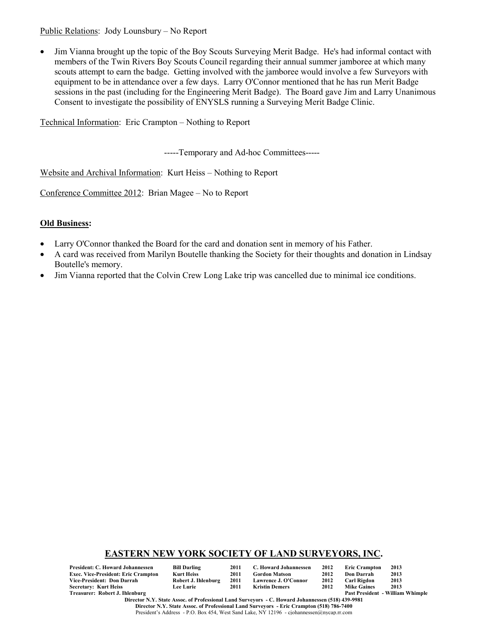Public Relations: Jody Lounsbury – No Report

• Jim Vianna brought up the topic of the Boy Scouts Surveying Merit Badge. He's had informal contact with members of the Twin Rivers Boy Scouts Council regarding their annual summer jamboree at which many scouts attempt to earn the badge. Getting involved with the jamboree would involve a few Surveyors with equipment to be in attendance over a few days. Larry O'Connor mentioned that he has run Merit Badge sessions in the past (including for the Engineering Merit Badge). The Board gave Jim and Larry Unanimous Consent to investigate the possibility of ENYSLS running a Surveying Merit Badge Clinic.

Technical Information: Eric Crampton – Nothing to Report

-----Temporary and Ad-hoc Committees-----

Website and Archival Information: Kurt Heiss – Nothing to Report

Conference Committee 2012: Brian Magee – No to Report

## **Old Business:**

- Larry O'Connor thanked the Board for the card and donation sent in memory of his Father.
- A card was received from Marilyn Boutelle thanking the Society for their thoughts and donation in Lindsay Boutelle's memory.
- Jim Vianna reported that the Colvin Crew Long Lake trip was cancelled due to minimal ice conditions.

## **EASTERN NEW YORK SOCIETY OF LAND SURVEYORS, INC.**

| President: C. Howard Johannessen    | <b>Bill Darling</b> | 2011 | C. Howard Johannessen | 2012 | <b>Eric Crampton</b> | 2013                                    |
|-------------------------------------|---------------------|------|-----------------------|------|----------------------|-----------------------------------------|
| Exec. Vice-President: Eric Crampton | Kurt Heiss          | 2011 | <b>Gordon Matson</b>  | 2012 | Don Darrah           | 2013                                    |
| Vice-President: Don Darrah          | Robert J. Ihlenburg | 2011 | Lawrence J. O'Connor  | 2012 | Carl Rigdon          | 2013                                    |
| Secretary: Kurt Heiss               | <b>Lee Lurie</b>    | 2011 | Kristin Demers        | 2012 | <b>Mike Gaines</b>   | 2013                                    |
| Treasurer: Robert J. Ihlenburg      |                     |      |                       |      |                      | <b>Past President - William Whimple</b> |

**Director N.Y. State Assoc. of Professional Land Surveyors - C. Howard Johannessen (518) 439-9981 Director N.Y. State Assoc. of Professional Land Surveyors - Eric Crampton (518) 786-7400** President's Address - P.O. Box 454, West Sand Lake, NY 12196 - cjohannessen@nycap.rr.com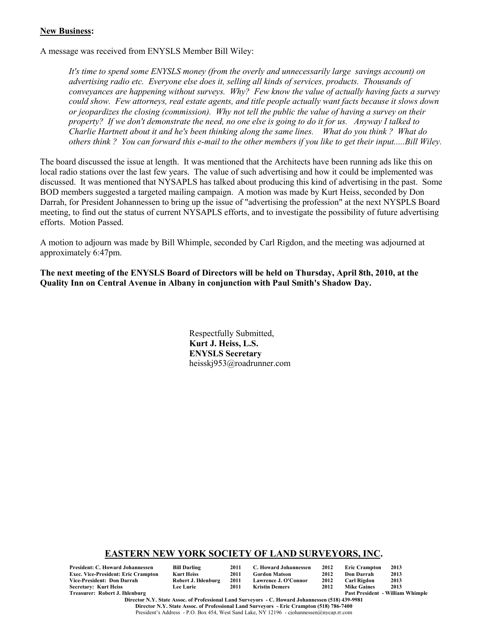#### **New Business:**

A message was received from ENYSLS Member Bill Wiley:

*It's time to spend some ENYSLS money (from the overly and unnecessarily large savings account) on advertising radio etc. Everyone else does it, selling all kinds of services, products. Thousands of conveyances are happening without surveys. Why? Few know the value of actually having facts a survey could show. Few attorneys, real estate agents, and title people actually want facts because it slows down or jeopardizes the closing (commission). Why not tell the public the value of having a survey on their property? If we don't demonstrate the need, no one else is going to do it for us. Anyway I talked to Charlie Hartnett about it and he's been thinking along the same lines. What do you think ? What do others think ? You can forward this e-mail to the other members if you like to get their input.....Bill Wiley.*

The board discussed the issue at length. It was mentioned that the Architects have been running ads like this on local radio stations over the last few years. The value of such advertising and how it could be implemented was discussed. It was mentioned that NYSAPLS has talked about producing this kind of advertising in the past. Some BOD members suggested a targeted mailing campaign. A motion was made by Kurt Heiss, seconded by Don Darrah, for President Johannessen to bring up the issue of "advertising the profession" at the next NYSPLS Board meeting, to find out the status of current NYSAPLS efforts, and to investigate the possibility of future advertising efforts. Motion Passed.

A motion to adjourn was made by Bill Whimple, seconded by Carl Rigdon, and the meeting was adjourned at approximately 6:47pm.

**The next meeting of the ENYSLS Board of Directors will be held on Thursday, April 8th, 2010, at the Quality Inn on Central Avenue in Albany in conjunction with Paul Smith's Shadow Day.**

> Respectfully Submitted, **Kurt J. Heiss, L.S. ENYSLS Secretary** heisskj953@roadrunner.com

#### **EASTERN NEW YORK SOCIETY OF LAND SURVEYORS, INC.**

| President: C. Howard Johannessen    | <b>Bill Darling</b> | 2011 | C. Howard Johannessen | 2012 | <b>Eric Crampton</b> | 2013                                    |
|-------------------------------------|---------------------|------|-----------------------|------|----------------------|-----------------------------------------|
| Exec. Vice-President: Eric Crampton | <b>Kurt Heiss</b>   | 2011 | <b>Gordon Matson</b>  | 2012 | Don Darrah           | 2013                                    |
| Vice-President: Don Darrah          | Robert J. Ihlenburg | 2011 | Lawrence J. O'Connor  | 2012 | Carl Rigdon          | 2013                                    |
| Secretary: Kurt Heiss               | <b>Lee Lurie</b>    | 2011 | Kristin Demers        | 2012 | <b>Mike Gaines</b>   | 2013                                    |
| Treasurer: Robert J. Ihlenburg      |                     |      |                       |      |                      | <b>Past President - William Whimple</b> |

**Director N.Y. State Assoc. of Professional Land Surveyors - C. Howard Johannessen (518) 439-9981 Director N.Y. State Assoc. of Professional Land Surveyors - Eric Crampton (518) 786-7400** President's Address - P.O. Box 454, West Sand Lake, NY 12196 - cjohannessen@nycap.rr.com